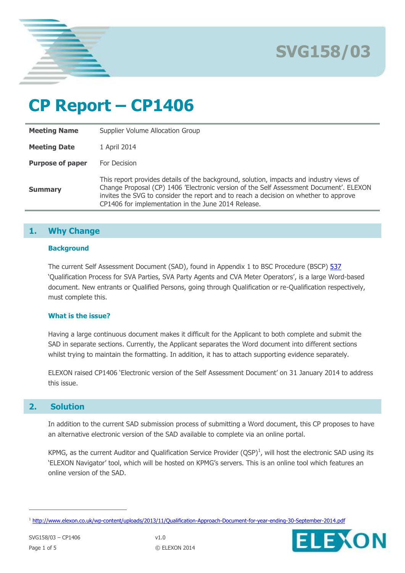

**SVG158/03**

# **CP Report – CP1406**

| <b>Meeting Name</b>     | Supplier Volume Allocation Group                                                                                                                                                                                                                                                                                                 |
|-------------------------|----------------------------------------------------------------------------------------------------------------------------------------------------------------------------------------------------------------------------------------------------------------------------------------------------------------------------------|
| <b>Meeting Date</b>     | 1 April 2014                                                                                                                                                                                                                                                                                                                     |
| <b>Purpose of paper</b> | For Decision                                                                                                                                                                                                                                                                                                                     |
| <b>Summary</b>          | This report provides details of the background, solution, impacts and industry views of<br>Change Proposal (CP) 1406 'Electronic version of the Self Assessment Document'. ELEXON<br>invites the SVG to consider the report and to reach a decision on whether to approve<br>CP1406 for implementation in the June 2014 Release. |

# **1. Why Change**

## **Background**

The current Self Assessment Document (SAD), found in Appendix 1 to BSC Procedure (BSCP) [537](http://www.elexon.co.uk/bsc-related-documents/related-documents/bscps) 'Qualification Process for SVA Parties, SVA Party Agents and CVA Meter Operators', is a large Word-based document. New entrants or Qualified Persons, going through Qualification or re-Qualification respectively, must complete this.

## **What is the issue?**

Having a large continuous document makes it difficult for the Applicant to both complete and submit the SAD in separate sections. Currently, the Applicant separates the Word document into different sections whilst trying to maintain the formatting. In addition, it has to attach supporting evidence separately.

ELEXON raised CP1406 'Electronic version of the Self Assessment Document' on 31 January 2014 to address this issue.

# **2. Solution**

In addition to the current SAD submission process of submitting a Word document, this CP proposes to have an alternative electronic version of the SAD available to complete via an online portal.

KPMG, as the current Auditor and Qualification Service Provider  $(QSP)^1$ , will host the electronic SAD using its 'ELEXON Navigator' tool, which will be hosted on KPMG's servers. This is an online tool which features an online version of the SAD.

 $\overline{a}$ 



<sup>&</sup>lt;sup>1</sup> <http://www.elexon.co.uk/wp-content/uploads/2013/11/Qualification-Approach-Document-for-year-ending-30-September-2014.pdf>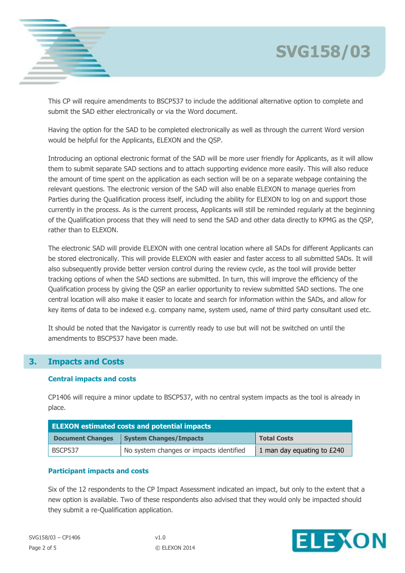



This CP will require amendments to BSCP537 to include the additional alternative option to complete and submit the SAD either electronically or via the Word document.

Having the option for the SAD to be completed electronically as well as through the current Word version would be helpful for the Applicants, ELEXON and the QSP.

Introducing an optional electronic format of the SAD will be more user friendly for Applicants, as it will allow them to submit separate SAD sections and to attach supporting evidence more easily. This will also reduce the amount of time spent on the application as each section will be on a separate webpage containing the relevant questions. The electronic version of the SAD will also enable ELEXON to manage queries from Parties during the Qualification process itself, including the ability for ELEXON to log on and support those currently in the process. As is the current process, Applicants will still be reminded regularly at the beginning of the Qualification process that they will need to send the SAD and other data directly to KPMG as the QSP, rather than to ELEXON.

The electronic SAD will provide ELEXON with one central location where all SADs for different Applicants can be stored electronically. This will provide ELEXON with easier and faster access to all submitted SADs. It will also subsequently provide better version control during the review cycle, as the tool will provide better tracking options of when the SAD sections are submitted. In turn, this will improve the efficiency of the Qualification process by giving the QSP an earlier opportunity to review submitted SAD sections. The one central location will also make it easier to locate and search for information within the SADs, and allow for key items of data to be indexed e.g. company name, system used, name of third party consultant used etc.

It should be noted that the Navigator is currently ready to use but will not be switched on until the amendments to BSCP537 have been made.

# **3. Impacts and Costs**

## **Central impacts and costs**

CP1406 will require a minor update to BSCP537, with no central system impacts as the tool is already in place.

| <b>ELEXON estimated costs and potential impacts</b> |                                         |                            |  |  |  |
|-----------------------------------------------------|-----------------------------------------|----------------------------|--|--|--|
| <b>Document Changes</b>                             | <b>System Changes/Impacts</b>           | <b>Total Costs</b>         |  |  |  |
| BSCP537                                             | No system changes or impacts identified | 1 man day equating to £240 |  |  |  |

# **Participant impacts and costs**

Six of the 12 respondents to the CP Impact Assessment indicated an impact, but only to the extent that a new option is available. Two of these respondents also advised that they would only be impacted should they submit a re-Qualification application.

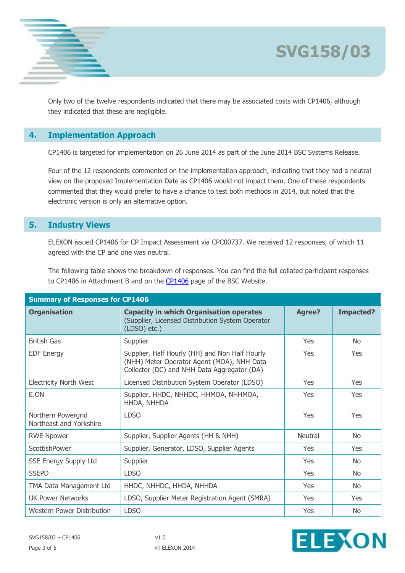

**SVG158/03**

Only two of the twelve respondents indicated that there may be associated costs with CP1406, although they indicated that these are negligible.

# **4. Implementation Approach**

CP1406 is targeted for implementation on 26 June 2014 as part of the June 2014 BSC Systems Release.

Four of the 12 respondents commented on the implementation approach, indicating that they had a neutral view on the proposed Implementation Date as CP1406 would not impact them. One of these respondents commented that they would prefer to have a chance to test both methods in 2014, but noted that the electronic version is only an alternative option.

# **5. Industry Views**

ELEXON issued CP1406 for CP Impact Assessment via CPC00737. We received 12 responses, of which 11 agreed with the CP and one was neutral.

The following table shows the breakdown of responses. You can find the full collated participant responses to [CP1406](http://www.elexon.co.uk/change-proposal/cp1406/) in Attachment B and on the CP1406 page of the BSC Website.

| <b>Summary of Responses for CP1406</b>        |                                                                                                                                             |                |                  |  |  |  |
|-----------------------------------------------|---------------------------------------------------------------------------------------------------------------------------------------------|----------------|------------------|--|--|--|
| <b>Organisation</b>                           | <b>Capacity in which Organisation operates</b><br>(Supplier, Licensed Distribution System Operator<br>$(LDSO)$ etc.)                        | <b>Agree?</b>  | <b>Impacted?</b> |  |  |  |
| <b>British Gas</b>                            | Supplier                                                                                                                                    | <b>Yes</b>     | <b>No</b>        |  |  |  |
| <b>EDF Energy</b>                             | Supplier, Half Hourly (HH) and Non Half Hourly<br>(NHH) Meter Operator Agent (MOA), NHH Data<br>Collector (DC) and NHH Data Aggregator (DA) | Yes            | Yes              |  |  |  |
| <b>Electricity North West</b>                 | Licensed Distribution System Operator (LDSO)                                                                                                | Yes            | Yes              |  |  |  |
| E.ON                                          | Supplier, HHDC, NHHDC, HHMOA, NHHMOA,<br>HHDA, NHHDA                                                                                        | Yes            | Yes              |  |  |  |
| Northern Powergrid<br>Northeast and Yorkshire | <b>LDSO</b>                                                                                                                                 | Yes            | Yes              |  |  |  |
| <b>RWE Npower</b>                             | Supplier, Supplier Agents (HH & NHH)                                                                                                        | <b>Neutral</b> | No.              |  |  |  |
| ScottishPower                                 | Supplier, Generator, LDSO, Supplier Agents                                                                                                  | <b>Yes</b>     | <b>Yes</b>       |  |  |  |
| <b>SSE Energy Supply Ltd</b>                  | Supplier                                                                                                                                    | Yes            | <b>No</b>        |  |  |  |
| <b>SSEPD</b>                                  | <b>LDSO</b>                                                                                                                                 | Yes            | N <sub>o</sub>   |  |  |  |
| TMA Data Management Ltd                       | HHDC, NHHDC, HHDA, NHHDA                                                                                                                    | Yes            | <b>No</b>        |  |  |  |
| <b>UK Power Networks</b>                      | LDSO, Supplier Meter Registration Agent (SMRA)                                                                                              | <b>Yes</b>     | <b>Yes</b>       |  |  |  |
| Western Power Distribution                    | <b>LDSO</b>                                                                                                                                 | Yes            | <b>No</b>        |  |  |  |

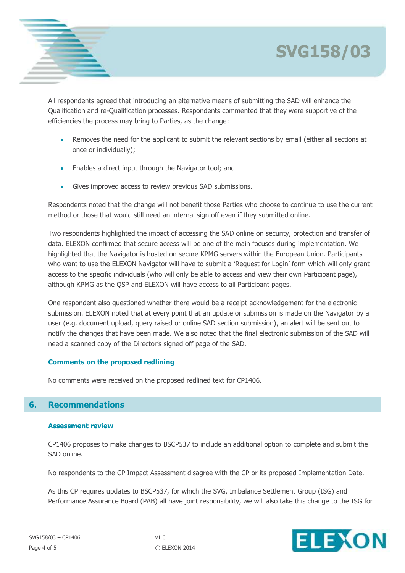



All respondents agreed that introducing an alternative means of submitting the SAD will enhance the Qualification and re-Qualification processes. Respondents commented that they were supportive of the efficiencies the process may bring to Parties, as the change:

- Removes the need for the applicant to submit the relevant sections by email (either all sections at once or individually);
- Enables a direct input through the Navigator tool; and
- Gives improved access to review previous SAD submissions.

Respondents noted that the change will not benefit those Parties who choose to continue to use the current method or those that would still need an internal sign off even if they submitted online.

Two respondents highlighted the impact of accessing the SAD online on security, protection and transfer of data. ELEXON confirmed that secure access will be one of the main focuses during implementation. We highlighted that the Navigator is hosted on secure KPMG servers within the European Union. Participants who want to use the ELEXON Navigator will have to submit a 'Request for Login' form which will only grant access to the specific individuals (who will only be able to access and view their own Participant page), although KPMG as the QSP and ELEXON will have access to all Participant pages.

One respondent also questioned whether there would be a receipt acknowledgement for the electronic submission. ELEXON noted that at every point that an update or submission is made on the Navigator by a user (e.g. document upload, query raised or online SAD section submission), an alert will be sent out to notify the changes that have been made. We also noted that the final electronic submission of the SAD will need a scanned copy of the Director's signed off page of the SAD.

## **Comments on the proposed redlining**

No comments were received on the proposed redlined text for CP1406.

# **6. Recommendations**

#### **Assessment review**

CP1406 proposes to make changes to BSCP537 to include an additional option to complete and submit the SAD online.

No respondents to the CP Impact Assessment disagree with the CP or its proposed Implementation Date.

As this CP requires updates to BSCP537, for which the SVG, Imbalance Settlement Group (ISG) and Performance Assurance Board (PAB) all have joint responsibility, we will also take this change to the ISG for